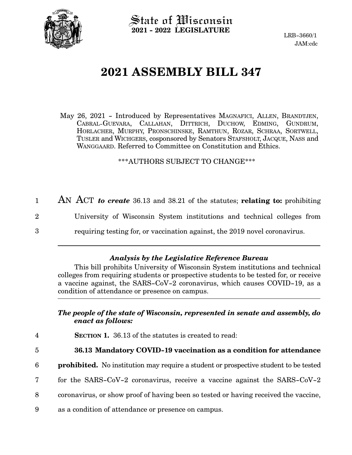

 $\operatorname{\mathsf{State}}$  of Wisconsin **2021 - 2022 LEGISLATURE**

LRB-3660/1 JAM:cdc

# **2021 ASSEMBLY BILL 347**

May 26, 2021 - Introduced by Representatives MAGNAFICI, ALLEN, BRANDTJEN, CABRAL-GUEVARA, CALLAHAN, DITTRICH, DUCHOW, EDMING, GUNDRUM, HORLACHER, MURPHY, PRONSCHINSKE, RAMTHUN, ROZAR, SCHRAA, SORTWELL, TUSLER and WICHGERS, cosponsored by Senators STAFSHOLT, JACQUE, NASS and WANGGAARD. Referred to Committee on Constitution and Ethics.

\*\*\*AUTHORS SUBJECT TO CHANGE\*\*\*

|          | AN ACT to create 36.13 and 38.21 of the statutes; relating to: prohibiting |
|----------|----------------------------------------------------------------------------|
| $\rm{2}$ | University of Wisconsin System institutions and technical colleges from    |
| 3        | requiring testing for, or vaccination against, the 2019 novel coronavirus. |

### *Analysis by the Legislative Reference Bureau*

This bill prohibits University of Wisconsin System institutions and technical colleges from requiring students or prospective students to be tested for, or receive a vaccine against, the SARS-CoV-2 coronavirus, which causes COVID-19, as a condition of attendance or presence on campus.

#### *The people of the state of Wisconsin, represented in senate and assembly, do enact as follows:*

**SECTION 1.** 36.13 of the statutes is created to read: 4

5

#### **36.13 Mandatory COVID-19 vaccination as a condition for attendance**

- **prohibited.** No institution may require a student or prospective student to be tested 6
- for the SARS-CoV-2 coronavirus, receive a vaccine against the SARS-CoV-2 7
- coronavirus, or show proof of having been so tested or having received the vaccine, 8
- as a condition of attendance or presence on campus. 9